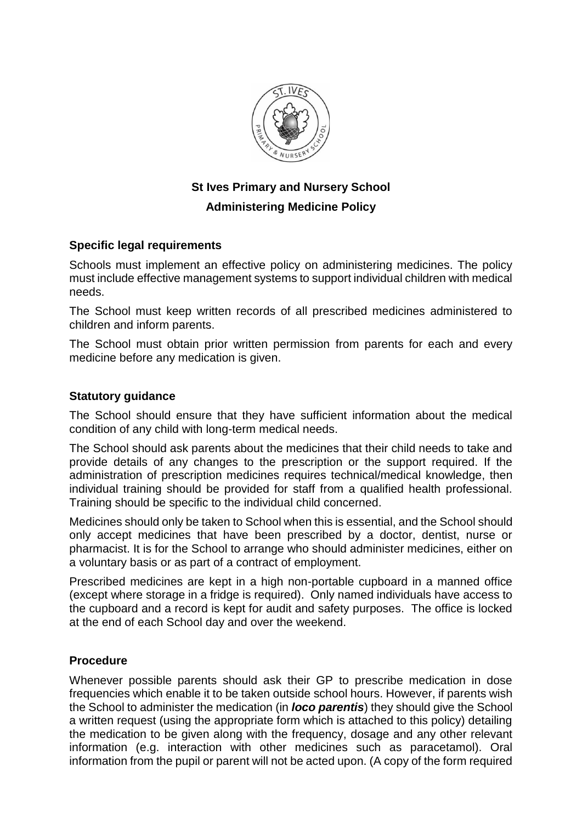

## **St Ives Primary and Nursery School Administering Medicine Policy**

## **Specific legal requirements**

Schools must implement an effective policy on administering medicines. The policy must include effective management systems to support individual children with medical needs.

The School must keep written records of all prescribed medicines administered to children and inform parents.

The School must obtain prior written permission from parents for each and every medicine before any medication is given.

## **Statutory guidance**

The School should ensure that they have sufficient information about the medical condition of any child with long-term medical needs.

The School should ask parents about the medicines that their child needs to take and provide details of any changes to the prescription or the support required. If the administration of prescription medicines requires technical/medical knowledge, then individual training should be provided for staff from a qualified health professional. Training should be specific to the individual child concerned.

Medicines should only be taken to School when this is essential, and the School should only accept medicines that have been prescribed by a doctor, dentist, nurse or pharmacist. It is for the School to arrange who should administer medicines, either on a voluntary basis or as part of a contract of employment.

Prescribed medicines are kept in a high non-portable cupboard in a manned office (except where storage in a fridge is required). Only named individuals have access to the cupboard and a record is kept for audit and safety purposes. The office is locked at the end of each School day and over the weekend.

## **Procedure**

Whenever possible parents should ask their GP to prescribe medication in dose frequencies which enable it to be taken outside school hours. However, if parents wish the School to administer the medication (in *loco parentis*) they should give the School a written request (using the appropriate form which is attached to this policy) detailing the medication to be given along with the frequency, dosage and any other relevant information (e.g. interaction with other medicines such as paracetamol). Oral information from the pupil or parent will not be acted upon. (A copy of the form required